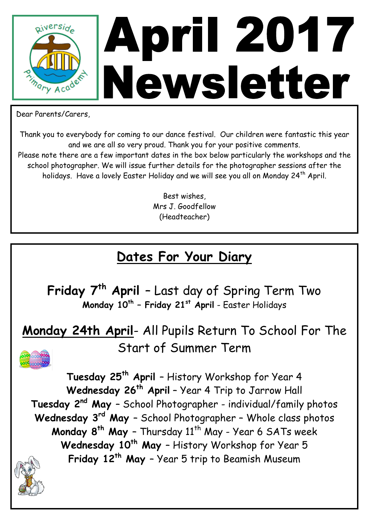

Dear Parents/Carers,

Thank you to everybody for coming to our dance festival. Our children were fantastic this year and we are all so very proud. Thank you for your positive comments.

Please note there are a few important dates in the box below particularly the workshops and the school photographer. We will issue further details for the photographer sessions after the holidays. Have a lovely Easter Holiday and we will see you all on Monday 24<sup>th</sup> April.

> Best wishes, Mrs J. Goodfellow (Headteacher)

#### **Dates For Your Diary**

**Friday 7th April** – Last day of Spring Term Two **Monday 10th – Friday 21st April** - Easter Holidays

**Monday 24th April**- All Pupils Return To School For The Start of Summer Term



**Tuesday 25th April** – History Workshop for Year 4 **Wednesday 26th April** – Year 4 Trip to Jarrow Hall **Tuesday 2nd May** – School Photographer - individual/family photos **Wednesday 3 rd May** – School Photographer – Whole class photos **Monday 8<sup>th</sup> May** - Thursday 11<sup>th</sup> May - Year 6 SATs week **Wednesday 10th May** – History Workshop for Year 5 **Friday 12th May** – Year 5 trip to Beamish Museum